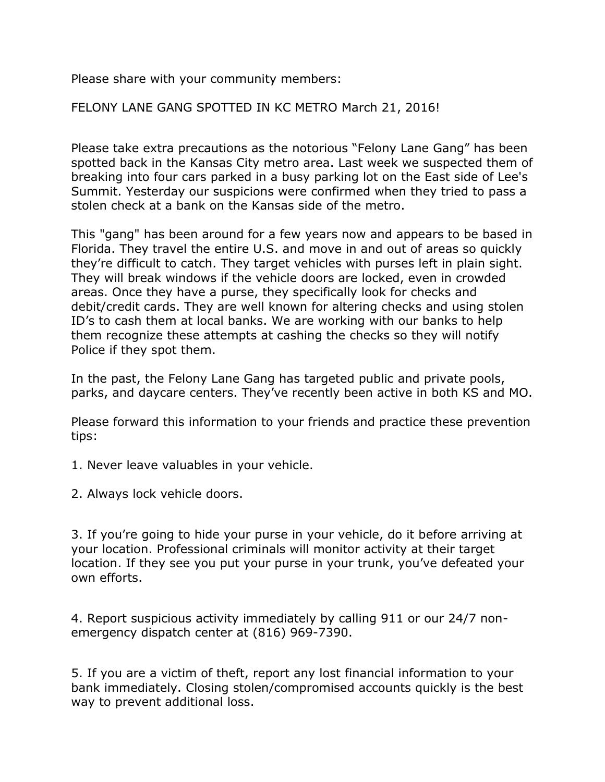Please share with your community members:

FELONY LANE GANG SPOTTED IN KC METRO March 21, 2016!

Please take extra precautions as the notorious "Felony Lane Gang" has been spotted back in the Kansas City metro area. Last week we suspected them of breaking into four cars parked in a busy parking lot on the East side of Lee's Summit. Yesterday our suspicions were confirmed when they tried to pass a stolen check at a bank on the Kansas side of the metro.

This "gang" has been around for a few years now and appears to be based in Florida. They travel the entire U.S. and move in and out of areas so quickly they're difficult to catch. They target vehicles with purses left in plain sight. They will break windows if the vehicle doors are locked, even in crowded areas. Once they have a purse, they specifically look for checks and debit/credit cards. They are well known for altering checks and using stolen ID's to cash them at local banks. We are working with our banks to help them recognize these attempts at cashing the checks so they will notify Police if they spot them.

In the past, the Felony Lane Gang has targeted public and private pools, parks, and daycare centers. They've recently been active in both KS and MO.

Please forward this information to your friends and practice these prevention tips:

1. Never leave valuables in your vehicle.

2. Always lock vehicle doors.

3. If you're going to hide your purse in your vehicle, do it before arriving at your location. Professional criminals will monitor activity at their target location. If they see you put your purse in your trunk, you've defeated your own efforts.

4. Report suspicious activity immediately by calling 911 or our 24/7 nonemergency dispatch center at (816) 969-7390.

5. If you are a victim of theft, report any lost financial information to your bank immediately. Closing stolen/compromised accounts quickly is the best way to prevent additional loss.